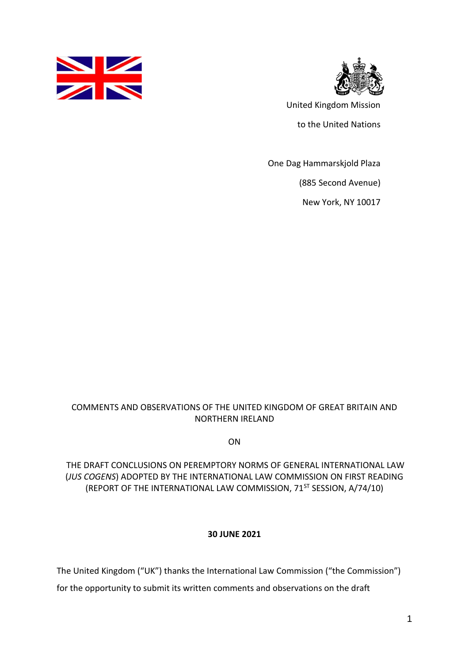



United Kingdom Mission

to the United Nations

One Dag Hammarskjold Plaza

(885 Second Avenue)

New York, NY 10017

## COMMENTS AND OBSERVATIONS OF THE UNITED KINGDOM OF GREAT BRITAIN AND NORTHERN IRELAND

ON

## THE DRAFT CONCLUSIONS ON PEREMPTORY NORMS OF GENERAL INTERNATIONAL LAW (*JUS COGENS*) ADOPTED BY THE INTERNATIONAL LAW COMMISSION ON FIRST READING (REPORT OF THE INTERNATIONAL LAW COMMISSION, 71<sup>ST</sup> SESSION, A/74/10)

## **30 JUNE 2021**

The United Kingdom ("UK") thanks the International Law Commission ("the Commission")

for the opportunity to submit its written comments and observations on the draft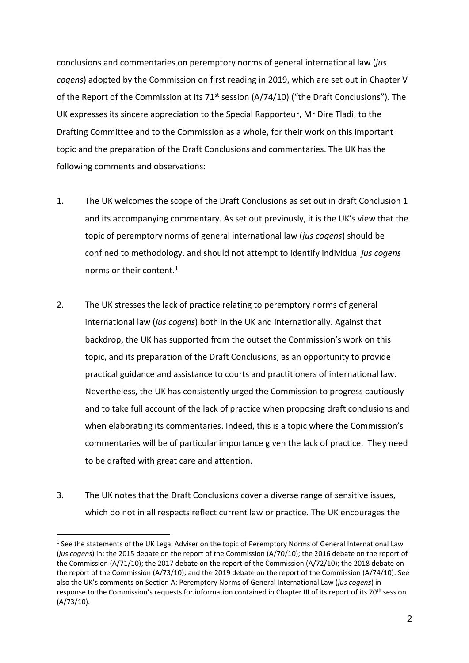conclusions and commentaries on peremptory norms of general international law (*jus cogens*) adopted by the Commission on first reading in 2019, which are set out in Chapter V of the Report of the Commission at its 71<sup>st</sup> session (A/74/10) ("the Draft Conclusions"). The UK expresses its sincere appreciation to the Special Rapporteur, Mr Dire Tladi, to the Drafting Committee and to the Commission as a whole, for their work on this important topic and the preparation of the Draft Conclusions and commentaries. The UK has the following comments and observations:

- 1. The UK welcomes the scope of the Draft Conclusions as set out in draft Conclusion 1 and its accompanying commentary. As set out previously, it is the UK's view that the topic of peremptory norms of general international law (*jus cogens*) should be confined to methodology, and should not attempt to identify individual *jus cogens* norms or their content. 1
- 2. The UK stresses the lack of practice relating to peremptory norms of general international law (*jus cogens*) both in the UK and internationally. Against that backdrop, the UK has supported from the outset the Commission's work on this topic, and its preparation of the Draft Conclusions, as an opportunity to provide practical guidance and assistance to courts and practitioners of international law. Nevertheless, the UK has consistently urged the Commission to progress cautiously and to take full account of the lack of practice when proposing draft conclusions and when elaborating its commentaries. Indeed, this is a topic where the Commission's commentaries will be of particular importance given the lack of practice. They need to be drafted with great care and attention.
- 3. The UK notes that the Draft Conclusions cover a diverse range of sensitive issues, which do not in all respects reflect current law or practice. The UK encourages the

<sup>&</sup>lt;sup>1</sup> See the statements of the UK Legal Adviser on the topic of Peremptory Norms of General International Law (*jus cogens*) in: the 2015 debate on the report of the Commission (A/70/10); the 2016 debate on the report of the Commission (A/71/10); the 2017 debate on the report of the Commission (A/72/10); the 2018 debate on the report of the Commission (A/73/10); and the 2019 debate on the report of the Commission (A/74/10). See also the UK's comments on Section A: Peremptory Norms of General International Law (*jus cogens*) in response to the Commission's requests for information contained in Chapter III of its report of its 70<sup>th</sup> session (A/73/10).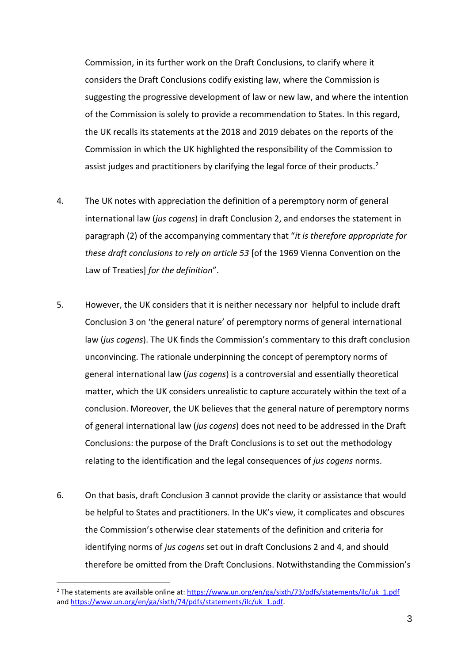Commission, in its further work on the Draft Conclusions, to clarify where it considers the Draft Conclusions codify existing law, where the Commission is suggesting the progressive development of law or new law, and where the intention of the Commission is solely to provide a recommendation to States. In this regard, the UK recalls its statements at the 2018 and 2019 debates on the reports of the Commission in which the UK highlighted the responsibility of the Commission to assist judges and practitioners by clarifying the legal force of their products.<sup>2</sup>

- 4. The UK notes with appreciation the definition of a peremptory norm of general international law (*jus cogens*) in draft Conclusion 2, and endorses the statement in paragraph (2) of the accompanying commentary that "*it is therefore appropriate for these draft conclusions to rely on article 53* [of the 1969 Vienna Convention on the Law of Treaties] *for the definition*".
- 5. However, the UK considers that it is neither necessary nor helpful to include draft Conclusion 3 on 'the general nature' of peremptory norms of general international law (*jus cogens*). The UK finds the Commission's commentary to this draft conclusion unconvincing. The rationale underpinning the concept of peremptory norms of general international law (*jus cogens*) is a controversial and essentially theoretical matter, which the UK considers unrealistic to capture accurately within the text of a conclusion. Moreover, the UK believes that the general nature of peremptory norms of general international law (*jus cogens*) does not need to be addressed in the Draft Conclusions: the purpose of the Draft Conclusions is to set out the methodology relating to the identification and the legal consequences of *jus cogens* norms.
- 6. On that basis, draft Conclusion 3 cannot provide the clarity or assistance that would be helpful to States and practitioners. In the UK's view, it complicates and obscures the Commission's otherwise clear statements of the definition and criteria for identifying norms of *jus cogens* set out in draft Conclusions 2 and 4, and should therefore be omitted from the Draft Conclusions. Notwithstanding the Commission's

1

<sup>&</sup>lt;sup>2</sup> The statements are available online at[: https://www.un.org/en/ga/sixth/73/pdfs/statements/ilc/uk\\_1.pdf](https://www.un.org/en/ga/sixth/73/pdfs/statements/ilc/uk_1.pdf) an[d https://www.un.org/en/ga/sixth/74/pdfs/statements/ilc/uk\\_1.pdf.](https://www.un.org/en/ga/sixth/74/pdfs/statements/ilc/uk_1.pdf)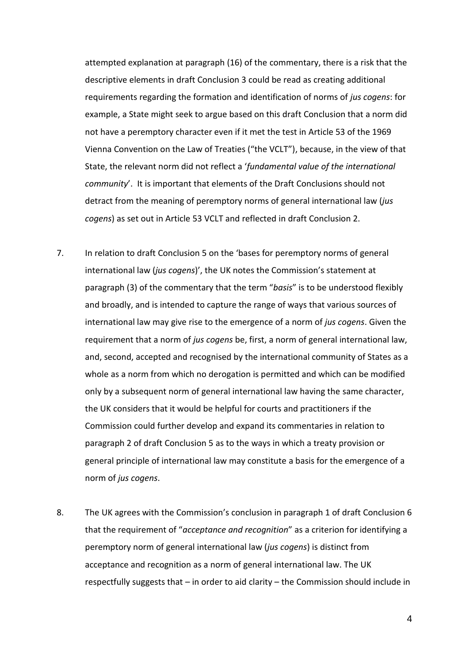attempted explanation at paragraph (16) of the commentary, there is a risk that the descriptive elements in draft Conclusion 3 could be read as creating additional requirements regarding the formation and identification of norms of *jus cogens*: for example, a State might seek to argue based on this draft Conclusion that a norm did not have a peremptory character even if it met the test in Article 53 of the 1969 Vienna Convention on the Law of Treaties ("the VCLT"), because, in the view of that State, the relevant norm did not reflect a '*fundamental value of the international community*'. It is important that elements of the Draft Conclusions should not detract from the meaning of peremptory norms of general international law (*jus cogens*) as set out in Article 53 VCLT and reflected in draft Conclusion 2.

- 7. In relation to draft Conclusion 5 on the 'bases for peremptory norms of general international law (*jus cogens*)', the UK notes the Commission's statement at paragraph (3) of the commentary that the term "*basis*" is to be understood flexibly and broadly, and is intended to capture the range of ways that various sources of international law may give rise to the emergence of a norm of *jus cogens*. Given the requirement that a norm of *jus cogens* be, first, a norm of general international law, and, second, accepted and recognised by the international community of States as a whole as a norm from which no derogation is permitted and which can be modified only by a subsequent norm of general international law having the same character, the UK considers that it would be helpful for courts and practitioners if the Commission could further develop and expand its commentaries in relation to paragraph 2 of draft Conclusion 5 as to the ways in which a treaty provision or general principle of international law may constitute a basis for the emergence of a norm of *jus cogens*.
- 8. The UK agrees with the Commission's conclusion in paragraph 1 of draft Conclusion 6 that the requirement of "*acceptance and recognition*" as a criterion for identifying a peremptory norm of general international law (*jus cogens*) is distinct from acceptance and recognition as a norm of general international law. The UK respectfully suggests that – in order to aid clarity – the Commission should include in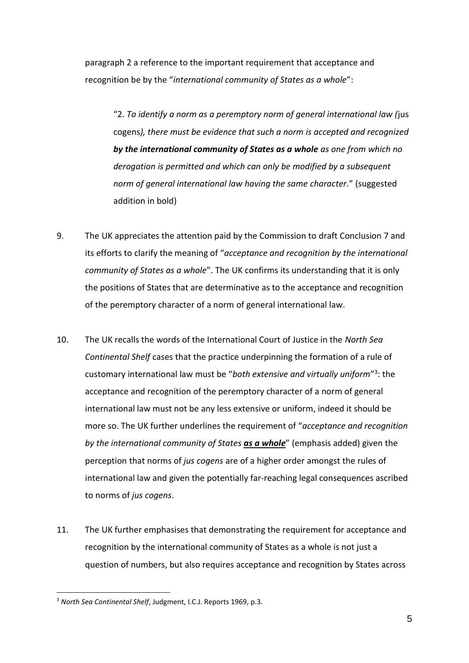paragraph 2 a reference to the important requirement that acceptance and recognition be by the "*international community of States as a whole*":

"2. *To identify a norm as a peremptory norm of general international law (*jus cogens*), there must be evidence that such a norm is accepted and recognized by the international community of States as a whole as one from which no derogation is permitted and which can only be modified by a subsequent norm of general international law having the same character.*" (suggested addition in bold)

- 9. The UK appreciates the attention paid by the Commission to draft Conclusion 7 and its efforts to clarify the meaning of "*acceptance and recognition by the international community of States as a whole*". The UK confirms its understanding that it is only the positions of States that are determinative as to the acceptance and recognition of the peremptory character of a norm of general international law.
- 10. The UK recalls the words of the International Court of Justice in the *North Sea Continental Shelf* cases that the practice underpinning the formation of a rule of customary international law must be "both extensive and virtually uniform"<sup>3</sup>: the acceptance and recognition of the peremptory character of a norm of general international law must not be any less extensive or uniform, indeed it should be more so. The UK further underlines the requirement of "*acceptance and recognition by the international community of States as a whole*" (emphasis added) given the perception that norms of *jus cogens* are of a higher order amongst the rules of international law and given the potentially far-reaching legal consequences ascribed to norms of *jus cogens*.
- 11. The UK further emphasises that demonstrating the requirement for acceptance and recognition by the international community of States as a whole is not just a question of numbers, but also requires acceptance and recognition by States across

<sup>3</sup> *North Sea Continental Shelf*, Judgment, I.C.J. Reports 1969, p.3.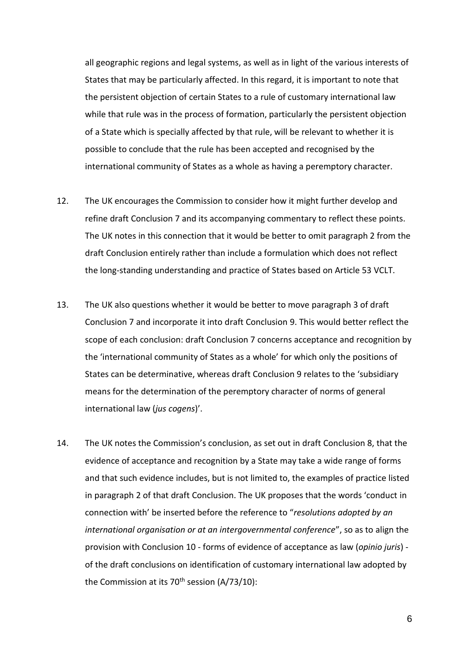all geographic regions and legal systems, as well as in light of the various interests of States that may be particularly affected. In this regard, it is important to note that the persistent objection of certain States to a rule of customary international law while that rule was in the process of formation, particularly the persistent objection of a State which is specially affected by that rule, will be relevant to whether it is possible to conclude that the rule has been accepted and recognised by the international community of States as a whole as having a peremptory character.

- 12. The UK encourages the Commission to consider how it might further develop and refine draft Conclusion 7 and its accompanying commentary to reflect these points. The UK notes in this connection that it would be better to omit paragraph 2 from the draft Conclusion entirely rather than include a formulation which does not reflect the long-standing understanding and practice of States based on Article 53 VCLT.
- 13. The UK also questions whether it would be better to move paragraph 3 of draft Conclusion 7 and incorporate it into draft Conclusion 9. This would better reflect the scope of each conclusion: draft Conclusion 7 concerns acceptance and recognition by the 'international community of States as a whole' for which only the positions of States can be determinative, whereas draft Conclusion 9 relates to the 'subsidiary means for the determination of the peremptory character of norms of general international law (*jus cogens*)'.
- 14. The UK notes the Commission's conclusion, as set out in draft Conclusion 8, that the evidence of acceptance and recognition by a State may take a wide range of forms and that such evidence includes, but is not limited to, the examples of practice listed in paragraph 2 of that draft Conclusion. The UK proposes that the words 'conduct in connection with' be inserted before the reference to "*resolutions adopted by an international organisation or at an intergovernmental conference*", so as to align the provision with Conclusion 10 - forms of evidence of acceptance as law (*opinio juris*) of the draft conclusions on identification of customary international law adopted by the Commission at its  $70<sup>th</sup>$  session (A/73/10):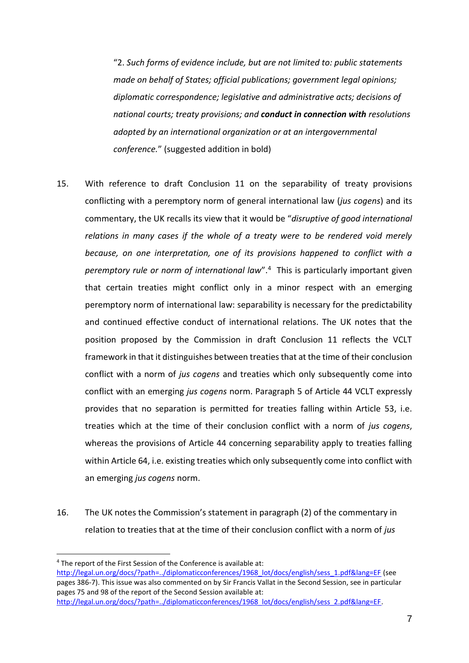"2. *Such forms of evidence include, but are not limited to: public statements made on behalf of States; official publications; government legal opinions; diplomatic correspondence; legislative and administrative acts; decisions of national courts; treaty provisions; and conduct in connection with resolutions adopted by an international organization or at an intergovernmental conference.*" (suggested addition in bold)

- 15. With reference to draft Conclusion 11 on the separability of treaty provisions conflicting with a peremptory norm of general international law (*jus cogens*) and its commentary, the UK recalls its view that it would be "*disruptive of good international relations in many cases if the whole of a treaty were to be rendered void merely because, on one interpretation, one of its provisions happened to conflict with a peremptory rule or norm of international law*". <sup>4</sup> This is particularly important given that certain treaties might conflict only in a minor respect with an emerging peremptory norm of international law: separability is necessary for the predictability and continued effective conduct of international relations. The UK notes that the position proposed by the Commission in draft Conclusion 11 reflects the VCLT framework in that it distinguishes between treaties that at the time of their conclusion conflict with a norm of *jus cogens* and treaties which only subsequently come into conflict with an emerging *jus cogens* norm. Paragraph 5 of Article 44 VCLT expressly provides that no separation is permitted for treaties falling within Article 53, i.e. treaties which at the time of their conclusion conflict with a norm of *jus cogens*, whereas the provisions of Article 44 concerning separability apply to treaties falling within Article 64, i.e. existing treaties which only subsequently come into conflict with an emerging *jus cogens* norm.
- 16. The UK notes the Commission's statement in paragraph (2) of the commentary in relation to treaties that at the time of their conclusion conflict with a norm of *jus*

<sup>4</sup> The report of the First Session of the Conference is available at:

[http://legal.un.org/docs/?path=../diplomaticconferences/1968\\_lot/docs/english/sess\\_1.pdf&lang=EF](http://legal.un.org/docs/?path=../diplomaticconferences/1968_lot/docs/english/sess_1.pdf&lang=EF) (see pages 386-7). This issue was also commented on by Sir Francis Vallat in the Second Session, see in particular pages 75 and 98 of the report of the Second Session available at: [http://legal.un.org/docs/?path=../diplomaticconferences/1968\\_lot/docs/english/sess\\_2.pdf&lang=EF.](http://legal.un.org/docs/?path=../diplomaticconferences/1968_lot/docs/english/sess_2.pdf&lang=EF)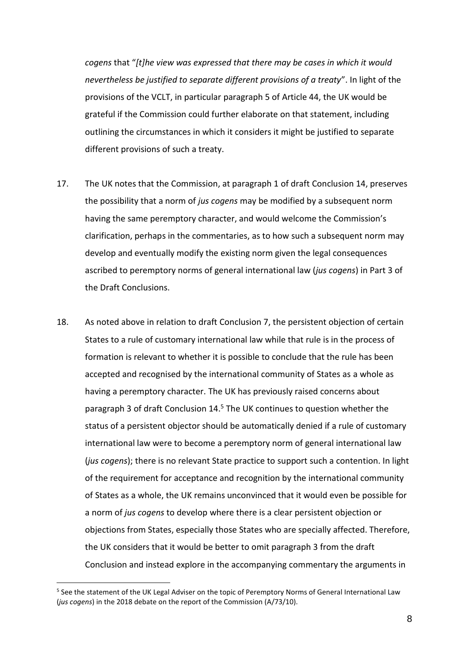*cogens* that "*[t]he view was expressed that there may be cases in which it would nevertheless be justified to separate different provisions of a treaty*". In light of the provisions of the VCLT, in particular paragraph 5 of Article 44, the UK would be grateful if the Commission could further elaborate on that statement, including outlining the circumstances in which it considers it might be justified to separate different provisions of such a treaty.

- 17. The UK notes that the Commission, at paragraph 1 of draft Conclusion 14, preserves the possibility that a norm of *jus cogens* may be modified by a subsequent norm having the same peremptory character, and would welcome the Commission's clarification, perhaps in the commentaries, as to how such a subsequent norm may develop and eventually modify the existing norm given the legal consequences ascribed to peremptory norms of general international law (*jus cogens*) in Part 3 of the Draft Conclusions.
- 18. As noted above in relation to draft Conclusion 7, the persistent objection of certain States to a rule of customary international law while that rule is in the process of formation is relevant to whether it is possible to conclude that the rule has been accepted and recognised by the international community of States as a whole as having a peremptory character. The UK has previously raised concerns about paragraph 3 of draft Conclusion 14.<sup>5</sup> The UK continues to question whether the status of a persistent objector should be automatically denied if a rule of customary international law were to become a peremptory norm of general international law (*jus cogens*); there is no relevant State practice to support such a contention. In light of the requirement for acceptance and recognition by the international community of States as a whole, the UK remains unconvinced that it would even be possible for a norm of *jus cogens* to develop where there is a clear persistent objection or objections from States, especially those States who are specially affected. Therefore, the UK considers that it would be better to omit paragraph 3 from the draft Conclusion and instead explore in the accompanying commentary the arguments in

1

<sup>&</sup>lt;sup>5</sup> See the statement of the UK Legal Adviser on the topic of Peremptory Norms of General International Law (*jus cogens*) in the 2018 debate on the report of the Commission (A/73/10).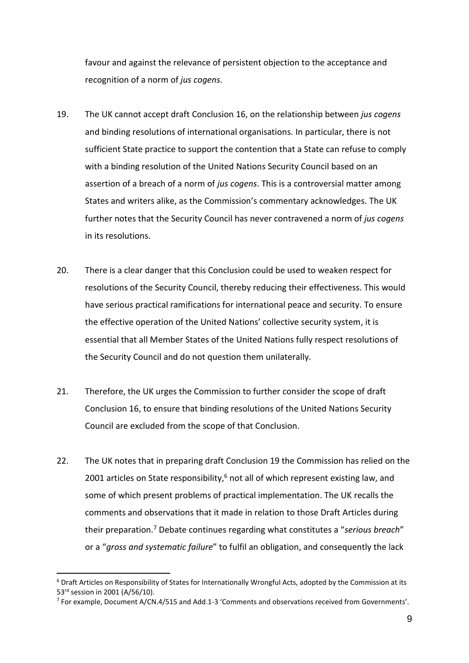favour and against the relevance of persistent objection to the acceptance and recognition of a norm of *jus cogens*.

- 19. The UK cannot accept draft Conclusion 16, on the relationship between *jus cogens* and binding resolutions of international organisations. In particular, there is not sufficient State practice to support the contention that a State can refuse to comply with a binding resolution of the United Nations Security Council based on an assertion of a breach of a norm of *jus cogens*. This is a controversial matter among States and writers alike, as the Commission's commentary acknowledges. The UK further notes that the Security Council has never contravened a norm of *jus cogens* in its resolutions.
- 20. There is a clear danger that this Conclusion could be used to weaken respect for resolutions of the Security Council, thereby reducing their effectiveness. This would have serious practical ramifications for international peace and security. To ensure the effective operation of the United Nations' collective security system, it is essential that all Member States of the United Nations fully respect resolutions of the Security Council and do not question them unilaterally.
- 21. Therefore, the UK urges the Commission to further consider the scope of draft Conclusion 16, to ensure that binding resolutions of the United Nations Security Council are excluded from the scope of that Conclusion.
- 22. The UK notes that in preparing draft Conclusion 19 the Commission has relied on the 2001 articles on State responsibility, $6$  not all of which represent existing law, and some of which present problems of practical implementation. The UK recalls the comments and observations that it made in relation to those Draft Articles during their preparation.<sup>7</sup> Debate continues regarding what constitutes a "*serious breach*" or a "*gross and systematic failure*" to fulfil an obligation, and consequently the lack

<sup>6</sup> Draft Articles on Responsibility of States for Internationally Wrongful Acts, adopted by the Commission at its 53rd session in 2001 (A/56/10).

<sup>&</sup>lt;sup>7</sup> For example, Document A/CN.4/515 and Add.1-3 'Comments and observations received from Governments'.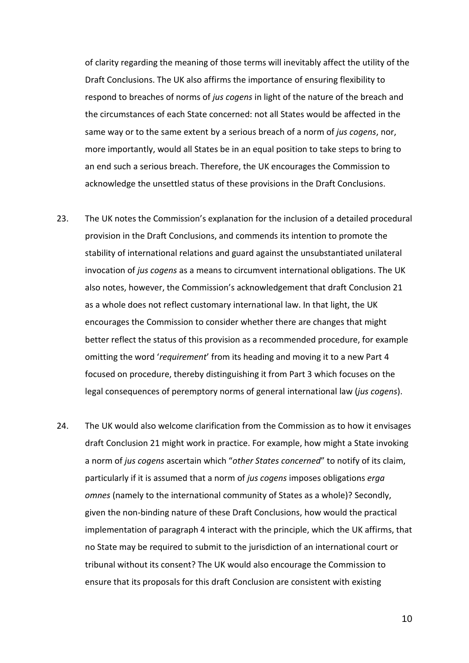of clarity regarding the meaning of those terms will inevitably affect the utility of the Draft Conclusions. The UK also affirms the importance of ensuring flexibility to respond to breaches of norms of *jus cogens* in light of the nature of the breach and the circumstances of each State concerned: not all States would be affected in the same way or to the same extent by a serious breach of a norm of *jus cogens*, nor, more importantly, would all States be in an equal position to take steps to bring to an end such a serious breach. Therefore, the UK encourages the Commission to acknowledge the unsettled status of these provisions in the Draft Conclusions.

- 23. The UK notes the Commission's explanation for the inclusion of a detailed procedural provision in the Draft Conclusions, and commends its intention to promote the stability of international relations and guard against the unsubstantiated unilateral invocation of *jus cogens* as a means to circumvent international obligations. The UK also notes, however, the Commission's acknowledgement that draft Conclusion 21 as a whole does not reflect customary international law. In that light, the UK encourages the Commission to consider whether there are changes that might better reflect the status of this provision as a recommended procedure, for example omitting the word '*requirement*' from its heading and moving it to a new Part 4 focused on procedure, thereby distinguishing it from Part 3 which focuses on the legal consequences of peremptory norms of general international law (*jus cogens*).
- 24. The UK would also welcome clarification from the Commission as to how it envisages draft Conclusion 21 might work in practice. For example, how might a State invoking a norm of *jus cogens* ascertain which "*other States concerned*" to notify of its claim, particularly if it is assumed that a norm of *jus cogens* imposes obligations *erga omnes* (namely to the international community of States as a whole)? Secondly, given the non-binding nature of these Draft Conclusions, how would the practical implementation of paragraph 4 interact with the principle, which the UK affirms, that no State may be required to submit to the jurisdiction of an international court or tribunal without its consent? The UK would also encourage the Commission to ensure that its proposals for this draft Conclusion are consistent with existing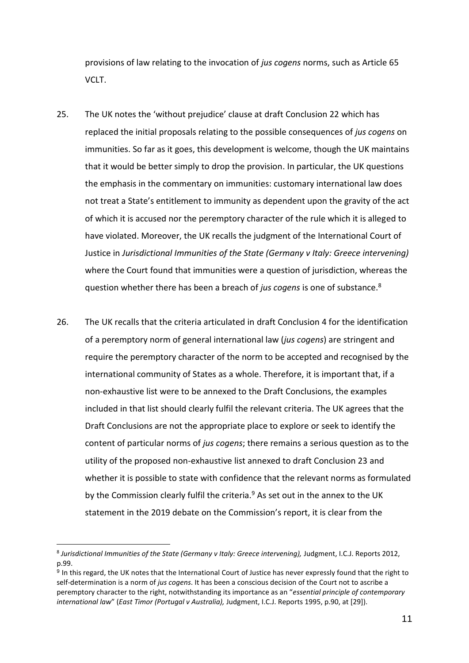provisions of law relating to the invocation of *jus cogens* norms, such as Article 65 VCLT.

- 25. The UK notes the 'without prejudice' clause at draft Conclusion 22 which has replaced the initial proposals relating to the possible consequences of *jus cogens* on immunities. So far as it goes, this development is welcome, though the UK maintains that it would be better simply to drop the provision. In particular, the UK questions the emphasis in the commentary on immunities: customary international law does not treat a State's entitlement to immunity as dependent upon the gravity of the act of which it is accused nor the peremptory character of the rule which it is alleged to have violated. Moreover, the UK recalls the judgment of the International Court of Justice in *Jurisdictional Immunities of the State (Germany v Italy: Greece intervening)*  where the Court found that immunities were a question of jurisdiction, whereas the question whether there has been a breach of *jus cogens* is one of substance.<sup>8</sup>
- 26. The UK recalls that the criteria articulated in draft Conclusion 4 for the identification of a peremptory norm of general international law (*jus cogens*) are stringent and require the peremptory character of the norm to be accepted and recognised by the international community of States as a whole. Therefore, it is important that, if a non-exhaustive list were to be annexed to the Draft Conclusions, the examples included in that list should clearly fulfil the relevant criteria. The UK agrees that the Draft Conclusions are not the appropriate place to explore or seek to identify the content of particular norms of *jus cogens*; there remains a serious question as to the utility of the proposed non-exhaustive list annexed to draft Conclusion 23 and whether it is possible to state with confidence that the relevant norms as formulated by the Commission clearly fulfil the criteria.<sup>9</sup> As set out in the annex to the UK statement in the 2019 debate on the Commission's report, it is clear from the

<sup>&</sup>lt;sup>8</sup> Jurisdictional Immunities of the State (Germany v Italy: Greece intervening), Judgment, I.C.J. Reports 2012, p.99.

<sup>&</sup>lt;sup>9</sup> In this regard, the UK notes that the International Court of Justice has never expressly found that the right to self-determination is a norm of *jus cogens*. It has been a conscious decision of the Court not to ascribe a peremptory character to the right, notwithstanding its importance as an "*essential principle of contemporary international law*" (*East Timor (Portugal v Australia),* Judgment, I.C.J. Reports 1995, p.90, at [29]).